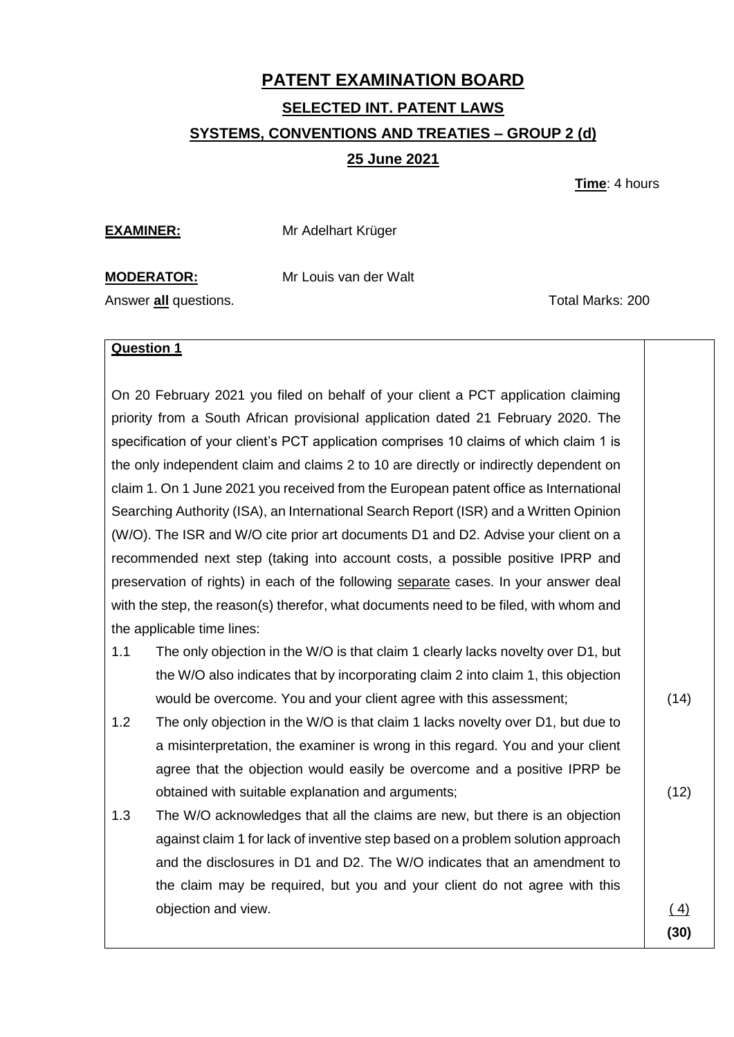## **PATENT EXAMINATION BOARD SELECTED INT. PATENT LAWS SYSTEMS, CONVENTIONS AND TREATIES – GROUP 2 (d) 25 June 2021**

**Time**: 4 hours

**EXAMINER:** Mr Adelhart Krüger

**MODERATOR:** Mr Louis van der Walt

Answer **all** questions. Total Marks: 200

#### **Question 1**

On 20 February 2021 you filed on behalf of your client a PCT application claiming priority from a South African provisional application dated 21 February 2020. The specification of your client's PCT application comprises 10 claims of which claim 1 is the only independent claim and claims 2 to 10 are directly or indirectly dependent on claim 1. On 1 June 2021 you received from the European patent office as International Searching Authority (ISA), an International Search Report (ISR) and a Written Opinion (W/O). The ISR and W/O cite prior art documents D1 and D2. Advise your client on a recommended next step (taking into account costs, a possible positive IPRP and preservation of rights) in each of the following separate cases. In your answer deal with the step, the reason(s) therefor, what documents need to be filed, with whom and the applicable time lines:

- 1.1 The only objection in the W/O is that claim 1 clearly lacks novelty over D1, but the W/O also indicates that by incorporating claim 2 into claim 1, this objection would be overcome. You and your client agree with this assessment;
- 1.2 The only objection in the W/O is that claim 1 lacks novelty over D1, but due to a misinterpretation, the examiner is wrong in this regard. You and your client agree that the objection would easily be overcome and a positive IPRP be obtained with suitable explanation and arguments;
- 1.3 The W/O acknowledges that all the claims are new, but there is an objection against claim 1 for lack of inventive step based on a problem solution approach and the disclosures in D1 and D2. The W/O indicates that an amendment to the claim may be required, but you and your client do not agree with this objection and view.

(14)

(12)

 $(4)$ **(30)**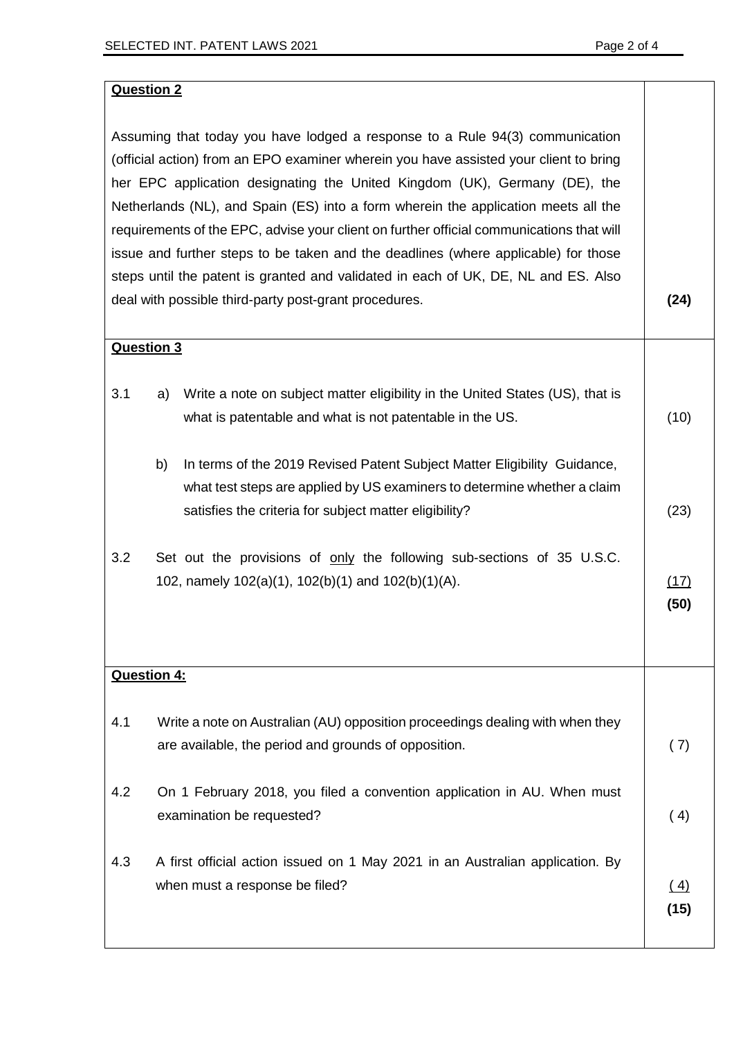(10)

(23)

(17) **(50)**

### **Question 2**

Assuming that today you have lodged a response to a Rule 94(3) communication (official action) from an EPO examiner wherein you have assisted your client to bring her EPC application designating the United Kingdom (UK), Germany (DE), the Netherlands (NL), and Spain (ES) into a form wherein the application meets all the requirements of the EPC, advise your client on further official communications that will issue and further steps to be taken and the deadlines (where applicable) for those steps until the patent is granted and validated in each of UK, DE, NL and ES. Also deal with possible third-party post-grant procedures. **(24)**

### **Question 3**

- 3.1 a) Write a note on subject matter eligibility in the United States (US), that is what is patentable and what is not patentable in the US.
	- b) In terms of the 2019 Revised Patent Subject Matter Eligibility Guidance, what test steps are applied by US examiners to determine whether a claim satisfies the criteria for subject matter eligibility?
- 3.2 Set out the provisions of only the following sub-sections of 35 U.S.C. 102, namely 102(a)(1), 102(b)(1) and 102(b)(1)(A).

### **Question 4:**

| 4.1 | Write a note on Australian (AU) opposition proceedings dealing with when they<br>are available, the period and grounds of opposition. | (7)         |
|-----|---------------------------------------------------------------------------------------------------------------------------------------|-------------|
| 4.2 | On 1 February 2018, you filed a convention application in AU. When must<br>examination be requested?                                  | (4)         |
| 4.3 | A first official action issued on 1 May 2021 in an Australian application. By<br>when must a response be filed?                       | (4)<br>(15) |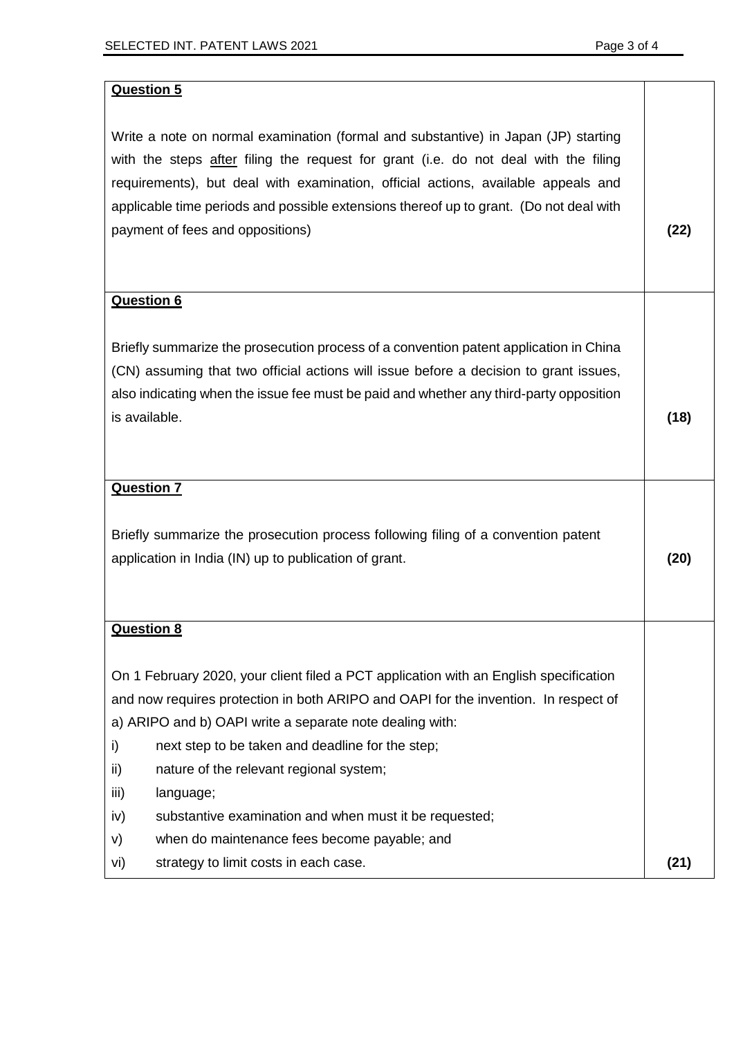# **Question 5** Write a note on normal examination (formal and substantive) in Japan (JP) starting with the steps after filing the request for grant (i.e. do not deal with the filing requirements), but deal with examination, official actions, available appeals and applicable time periods and possible extensions thereof up to grant. (Do not deal with payment of fees and oppositions) **(22) Question 6** Briefly summarize the prosecution process of a convention patent application in China (CN) assuming that two official actions will issue before a decision to grant issues, also indicating when the issue fee must be paid and whether any third-party opposition is available. **(18) Question 7** Briefly summarize the prosecution process following filing of a convention patent application in India (IN) up to publication of grant. **(20) Question 8** On 1 February 2020, your client filed a PCT application with an English specification and now requires protection in both ARIPO and OAPI for the invention. In respect of a) ARIPO and b) OAPI write a separate note dealing with: i) next step to be taken and deadline for the step; ii) nature of the relevant regional system; iii) language; iv) substantive examination and when must it be requested; v) when do maintenance fees become payable; and vi) strategy to limit costs in each case. **(21)**